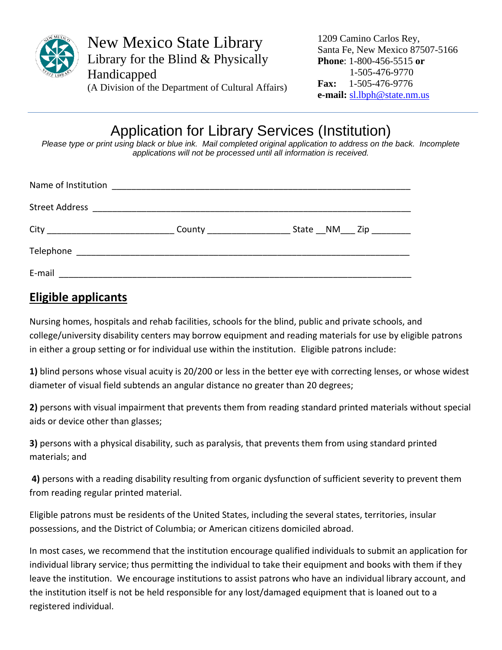

New Mexico State Library Library for the Blind & Physically Handicapped (A Division of the Department of Cultural Affairs) 1209 Camino Carlos Rey, Santa Fe, New Mexico 87507-5166 **Phone**: 1-800-456-5515 **or** 1-505-476-9770 **Fax:** 1-505-476-9776 **e-mail:** [sl.lbph@state.nm.us](mailto:sl.lbph@state.nm.us)

# Application for Library Services (Institution)

Please type or print using black or blue ink. Mail completed original application to address on the back. Incomplete *applications will not be processed until all information is received.*

| Name of Institution |  |
|---------------------|--|
|                     |  |
|                     |  |
|                     |  |
| E-mail              |  |

#### **Eligible applicants**

Nursing homes, hospitals and rehab facilities, schools for the blind, public and private schools, and college/university disability centers may borrow equipment and reading materials for use by eligible patrons in either a group setting or for individual use within the institution. Eligible patrons include:

**1)** blind persons whose visual acuity is 20/200 or less in the better eye with correcting lenses, or whose widest diameter of visual field subtends an angular distance no greater than 20 degrees;

**2)** persons with visual impairment that prevents them from reading standard printed materials without special aids or device other than glasses;

**3)** persons with a physical disability, such as paralysis, that prevents them from using standard printed materials; and

**4)** persons with a reading disability resulting from organic dysfunction of sufficient severity to prevent them from reading regular printed material.

Eligible patrons must be residents of the United States, including the several states, territories, insular possessions, and the District of Columbia; or American citizens domiciled abroad.

In most cases, we recommend that the institution encourage qualified individuals to submit an application for individual library service; thus permitting the individual to take their equipment and books with them if they leave the institution. We encourage institutions to assist patrons who have an individual library account, and the institution itself is not be held responsible for any lost/damaged equipment that is loaned out to a registered individual.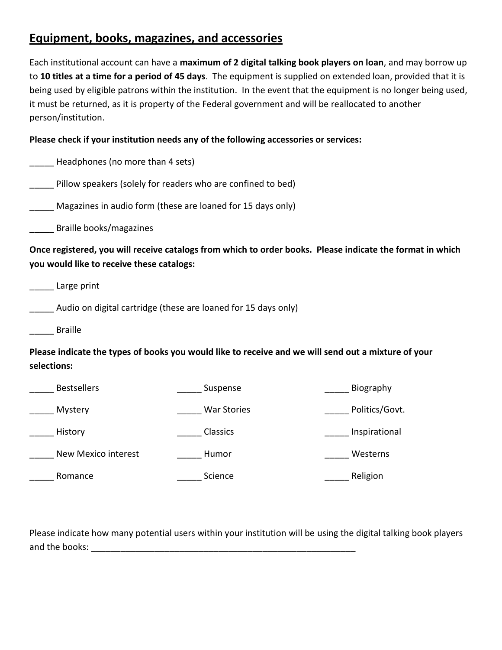## **Equipment, books, magazines, and accessories**

Each institutional account can have a **maximum of 2 digital talking book players on loan**, and may borrow up to **10 titles at a time for a period of 45 days**. The equipment is supplied on extended loan, provided that it is being used by eligible patrons within the institution. In the event that the equipment is no longer being used, it must be returned, as it is property of the Federal government and will be reallocated to another person/institution.

#### **Please check if your institution needs any of the following accessories or services:**

| Headphones (no more than 4 sets)          |                                                                |                                                                                                           |
|-------------------------------------------|----------------------------------------------------------------|-----------------------------------------------------------------------------------------------------------|
|                                           | Pillow speakers (solely for readers who are confined to bed)   |                                                                                                           |
|                                           | Magazines in audio form (these are loaned for 15 days only)    |                                                                                                           |
| Braille books/magazines                   |                                                                |                                                                                                           |
| you would like to receive these catalogs: |                                                                | Once registered, you will receive catalogs from which to order books. Please indicate the format in which |
| Large print                               |                                                                |                                                                                                           |
|                                           | Audio on digital cartridge (these are loaned for 15 days only) |                                                                                                           |
| <b>Braille</b>                            |                                                                |                                                                                                           |
| selections:                               |                                                                | Please indicate the types of books you would like to receive and we will send out a mixture of your       |
| <b>Bestsellers</b>                        | Suspense                                                       | Biography                                                                                                 |
| Mystery                                   | <b>War Stories</b>                                             | Politics/Govt.                                                                                            |
| History                                   | Classics                                                       | Inspirational                                                                                             |
| New Mexico interest                       | Humor                                                          | Westerns                                                                                                  |
| Romance                                   | Science                                                        | Religion                                                                                                  |

Please indicate how many potential users within your institution will be using the digital talking book players and the books: **with a set of the set of the set of the set of the set of the set of the set of the set of the set of the set of the set of the set of the set of the set of the set of the set of the set of the set of the s**